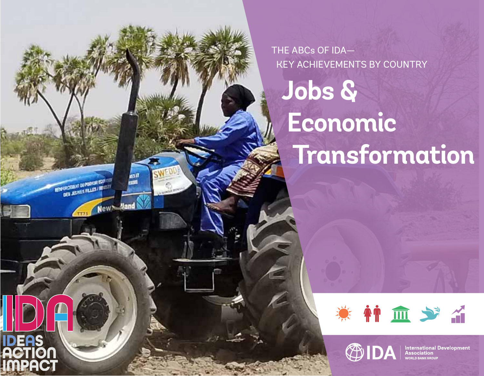THE ABCs OF IDA— KEY ACHIEVEMENTS BY COUNTRY

**Jobs & Economic Transformation**

**ESPECTATION NATIONAL EDIT DES EURS FLUES INTERNATIONAL** 

**IDEAS ACTION IMPACT**



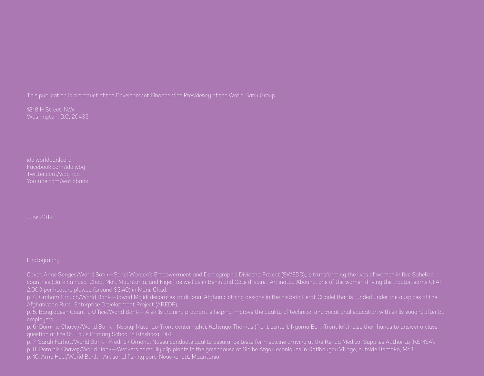This publication is a product of the Development Finance Vice Presidency of the World Bank Group

1818 H Street, N.W.

Twitter.com/wbg\_ida

June 2019

Cover, Anne Senges/World Bank—Sahel Women's Empowerment and Demographic Dividend Project (SWEDD), is transforming the lives of women in five Sahelian

p. 4, Graham Crouch/World Bank—Jawad Majidi decorates traditional Afghan clothing designs in the historic Herat Citadel that is funded under the auspices of the

p. 6, Dominic Chavez/World Bank—Nsongi Natondo (front center right), Kahenga Thomas (front center), Ngoma Beni (front left) raise their hands to answer a class

p. 7, Sarah Farhat/World Bank—Fredrick Omondi Ngesa conducts quality assurance tests for medicine arriving at the Kenya Medical Supplies Authority (KEMSA).

p. 8, Dominic Chavez/World Bank—Workers carefully clip plants in the greenhouse of Sidibe Argo-Techniques in Katibougou Village, outside Bamako, Mali.

p. 10, Arne Hoel/World Bank—Artisanal fishing port, Nouakchott, Mauritania.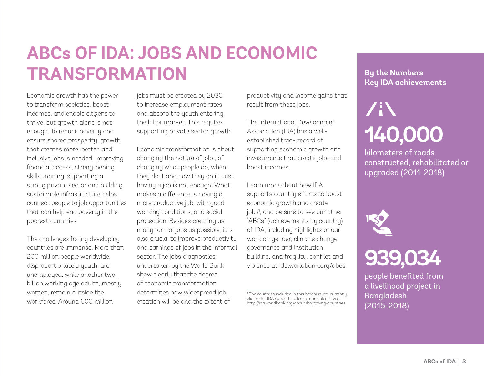## **ABCs OF IDA: JOBS AND ECONOMIC TRANSFORMATION**

Economic growth has the power to transform societies, boost incomes, and enable citizens to thrive, but growth alone is not enough. To reduce poverty and ensure shared prosperity, growth that creates more, better, and inclusive jobs is needed. Improving financial access, strengthening skills training, supporting a strong private sector and building sustainable infrastructure helps connect people to job opportunities that can help end poverty in the poorest countries.

The challenges facing developing countries are immense. More than 200 million people worldwide, disproportionately youth, are unemployed, while another two billion working age adults, mostly women, remain outside the workforce. Around 600 million

jobs must be created by 2030 to increase employment rates and absorb the youth entering the labor market. This requires supporting private sector growth.

Economic transformation is about changing the nature of jobs, of changing what people do, where they do it and how they do it. Just having a job is not enough: What makes a difference is having a more productive job, with good working conditions, and social protection. Besides creating as many formal jobs as possible, it is also crucial to improve productivity and earnings of jobs in the informal sector. The jobs diagnostics undertaken by the World Bank show clearly that the degree of economic transformation determines how widespread job creation will be and the extent of

productivity and income gains that result from these jobs.

The International Development Association (IDA) has a wellestablished track record of supporting economic growth and investments that create jobs and boost incomes.

Learn more about how IDA supports country efforts to boost economic growth and create jobs1 , and be sure to see our other "ABCs" (achievements by country) of IDA, including highlights of our work on gender, climate change, governance and institution building, and fragility, conflict and violence at ida.worldbank.org/abcs.

## **By the Numbers Key IDA achievements**

# /iN **140,000**

kilometers of roads constructed, rehabilitated or upgraded (2011-2018)



## **939,034**

people benefited from a livelihood project in **Bangladesh** (2015-2018)

<sup>1</sup> The countries included in this brochure are currently eligible for IDA support. To learn more, please visit http://ida.worldbank.org/about/borrowing-countries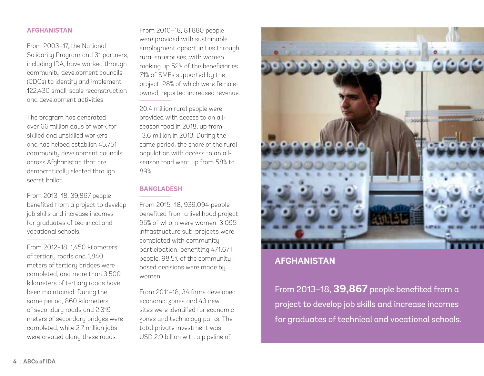## **AFGHANISTAN**

From 2003-17 the National Solidarity Program and 31 partners, including IDA, have worked through community development councils (CDCs) to identify and implement 122,430 small-scale reconstruction and development activities.

The program has generated over 66 million days of work for skilled and unskilled workers and has helped establish 45,751 community development councils across Afghanistan that are democratically elected through secret ballot.

From 2013–18, 39,867 people benefited from a project to develop job skills and increase incomes for graduates of technical and vocational schools.

From 2012–18, 1,450 kilometers of tertiary roads and 1,840 meters of tertiary bridges were completed, and more than 3,500 kilometers of tertiary roads have been maintained. During the same period, 860 kilometers of secondary roads and 2,319 meters of secondary bridges were completed, while 2.7 million jobs were created along these roads.

From 2010–18, 81,880 people were provided with sustainable employment opportunities through rural enterprises, with women making up 52% of the beneficiaries. 71% of SMEs supported by the project, 28% of which were femaleowned, reported increased revenue.

20.4 million rural people were provided with access to an allseason road in 2018, up from 13.6 million in 2013. During the same period, the share of the rural population with access to an allseason road went up from 58% to 89%.

## **BANGLADESH**

From 2015–18, 939,094 people benefited from a livelihood project, 95% of whom were women. 3,095 infrastructure sub-projects were completed with community participation, benefiting 471,671 people. 98.5% of the communitybased decisions were made by women.

From 2011–18, 34 firms developed economic zones and 43 new sites were identified for economic zones and technology parks. The total private investment was USD 2.9 billion with a pipeline of



## **AFGHANISTAN**

From 2013–18, **39,867** people benefited from a project to develop job skills and increase incomes for graduates of technical and vocational schools.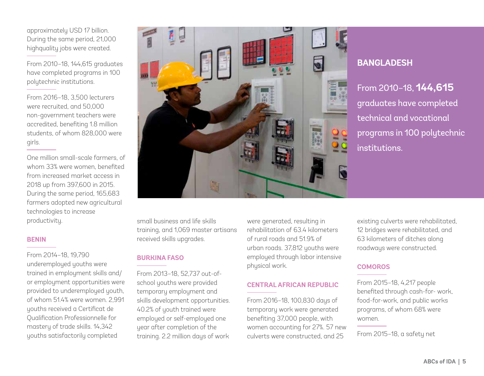approximately USD 17 billion. During the same period, 21,000 highquality jobs were created.

From 2010–18, 144,615 graduates have completed programs in 100 polytechnic institutions.

From 2016–18, 3,500 lecturers were recruited, and 50,000 non-government teachers were accredited, benefiting 1.8 million students, of whom 828,000 were girls.

One million small-scale farmers, of whom 33% were women, benefited from increased market access in 2018 up from 397,600 in 2015. During the same period, 165,683 farmers adopted new agricultural technologies to increase productivity.

## **BENIN**

From 2014–18, 19,790 underemployed youths were trained in employment skills and/ or employment opportunities were provided to underemployed youth, of whom 51.4% were women. 2,991 youths received a Certificat de Qualification Professionnelle for mastery of trade skills. 14,342 youths satisfactorily completed



## **BANGLADESH**

From 2010–18, **144,615** graduates have completed technical and vocational programs in 100 polytechnic institutions.

small business and life skills training, and 1,069 master artisans received skills upgrades.

## **BURKINA FASO**

From 2013–18, 52,737 out-ofschool youths were provided temporary employment and skills development opportunities. 40.2% of youth trained were employed or self-employed one year after completion of the training. 2.2 million days of work

were generated, resulting in rehabilitation of 63.4 kilometers of rural roads and 51.9% of urban roads. 37,812 youths were employed through labor intensive physical work.

## **CENTRAL AFRICAN REPUBLIC**

From 2016–18, 100,830 days of temporary work were generated benefiting 37,000 people, with women accounting for 27%. 57 new culverts were constructed, and 25

existing culverts were rehabilitated, 12 bridges were rehabilitated, and 63 kilometers of ditches along roadways were constructed.

## **COMOROS**

From 2015–18, 4,217 people benefited through cash-for- work, food-for-work, and public works programs, of whom 68% were women.

From 2015–18, a safety net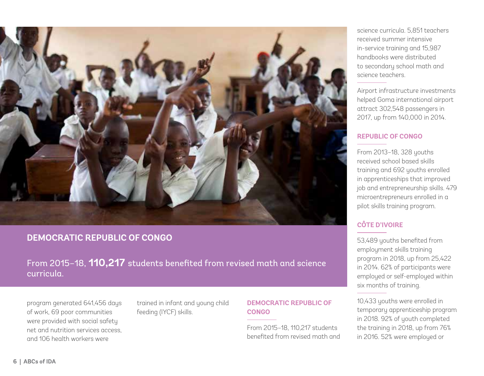

## **DEMOCRATIC REPUBLIC OF CONGO**

From 2015–18, **110,217** students benefited from revised math and science curricula.

program generated 641,456 days of work, 69 poor communities were provided with social safety net and nutrition services access, and 106 health workers were

trained in infant and young child feeding (IYCF) skills.

## **DEMOCRATIC REPUBLIC OF CONGO**

From 2015–18, 110,217 students benefited from revised math and science curricula. 5,851 teachers received summer intensive in-service training and 15,987 handbooks were distributed to secondary school math and science teachers.

Airport infrastructure investments helped Goma international airport attract 302,548 passengers in 2017, up from 140,000 in 2014.

## **REPUBLIC OF CONGO**

From 2013–18, 328 youths received school based skills training and 692 youths enrolled in apprenticeships that improved job and entrepreneurship skills. 479 microentrepreneurs enrolled in a pilot skills training program.

## **CÔTE D'IVOIRE**

53,489 youths benefited from employment skills training program in 2018, up from 25,422 in 2014. 62% of participants were employed or self-employed within six months of training.

10,433 youths were enrolled in temporary apprenticeship program in 2018. 92% of youth completed the training in 2018, up from 76% in 2016. 52% were employed or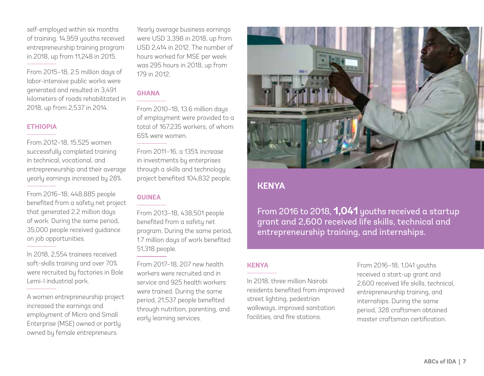self-employed within six months of training. 14,959 youths received entrepreneurship training program in 2018, up from 11,248 in 2015.

From 2015–18, 2.5 million days of labor-intensive public works were generated and resulted in 3,491 kilometers of roads rehabilitated in 2018, up from 2,537 in 2014.

## **ETHIOPIA**

From 2012–18, 15,525 women successfully completed training in technical, vocational, and entrepreneurship and their average yearly earnings increased by 28%.

From 2016–18, 448,885 people benefited from a safety net project that generated 2.2 million days of work. During the same period, 35,000 people received guidance on job opportunities.

In 2018, 2,554 trainees received soft-skills training and over 70% were recruited by factories in Bole Lemi-I industrial park.

A women entrepreneurship project increased the earnings and employment of Micro and Small Enterprise (MSE) owned or partly owned by female entrepreneurs.

Yearly average business earnings were USD 3,398 in 2018, up from USD 2,414 in 2012. The number of hours worked for MSE per week was 295 hours in 2018, up from 179 in 2012.

## **GHANA**

From 2010–18, 13.6 million days of employment were provided to a total of 167,235 workers, of whom 65% were women.

From 2011–16, a 135% increase in investments by enterprises through a skills and technology project benefited 104,832 people.

## **GUINEA**

From 2013–18, 438,501 people benefited from a safety net program. During the same period, 1.7 million days of work benefited 51,318 people.

From 2017–18, 207 new health workers were recruited and in service and 925 health workers were trained. During the same period, 21,537 people benefited through nutrition, parenting, and early learning services.



## **KENYA**

From 2016 to 2018, **1,041** youths received a startup grant and 2,600 received life skills, technical and entrepreneurship training, and internships.

## **KENYA**

In 2018, three million Nairobi residents benefited from improved street lighting, pedestrian walkways, improved sanitation facilities, and fire stations.

From 2016–18, 1,041 youths received a start-up grant and 2,600 received life skills, technical, entrepreneurship training, and internships. During the same period, 328 craftsmen obtained master craftsman certification.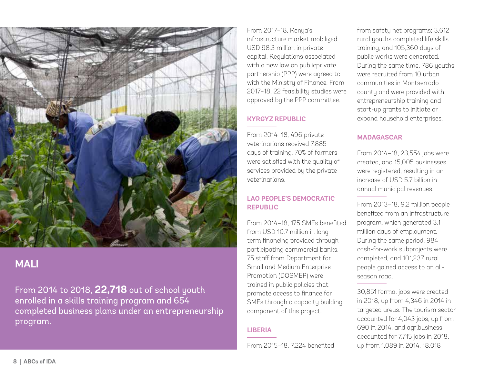

## **MALI**

From 2014 to 2018, **22,718** out of school youth enrolled in a skills training program and 654 completed business plans under an entrepreneurship program.

From 2017–18, Kenya's infrastructure market mobilized USD 98.3 million in private capital. Regulations associated with a new law on publicprivate partnership (PPP) were agreed to with the Ministry of Finance. From 2017–18, 22 feasibility studies were approved by the PPP committee.

## **KYRGYZ REPUBLIC**

From 2014–18, 496 private veterinarians received 7,885 days of training. 70% of farmers were satisfied with the quality of services provided by the private veterinarians.

## **LAO PEOPLE'S DEMOCRATIC REPUBLIC**

From 2014–18, 175 SMEs benefited from USD 10.7 million in longterm financing provided through participating commercial banks. 75 staff from Department for Small and Medium Enterprise Promotion (DOSMEP) were trained in public policies that promote access to finance for SMEs through a capacity building component of this project.

## **LIBERIA**

From 2015–18, 7,224 benefited

from safety net programs; 3,612 rural youths completed life skills training, and 105,360 days of public works were generated. During the same time, 786 youths were recruited from 10 urban communities in Montserrado county and were provided with entrepreneurship training and start-up grants to initiate or expand household enterprises.

## **MADAGASCAR**

From 2014–18, 23,554 jobs were created, and 15,005 businesses were registered, resulting in an increase of USD 5.7 billion in annual municipal revenues.

From 2013–18, 9.2 million people benefited from an infrastructure program, which generated 3.1 million days of employment. During the same period, 984 cash-for-work subprojects were completed, and 101,237 rural people gained access to an allseason road.

30,851 formal jobs were created in 2018, up from 4,346 in 2014 in targeted areas. The tourism sector accounted for 4,043 jobs, up from 690 in 2014, and agribusiness accounted for 7,715 jobs in 2018, up from 1,089 in 2014. 18,018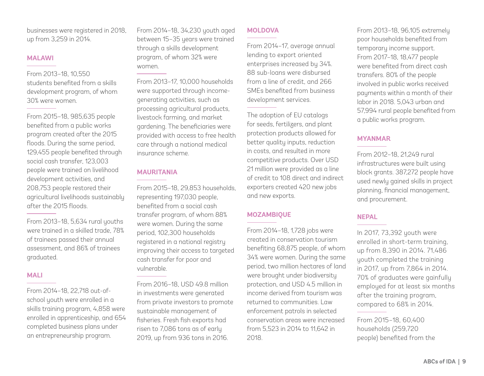businesses were registered in 2018, up from 3,259 in 2014.

#### **MALAWI**

From 2013–18, 10,550 students benefited from a skills development program, of whom 30% were women.

From 2015–18, 985,635 people benefited from a public works program created after the 2015 floods. During the same period, 129,455 people benefited through social cash transfer, 123,003 people were trained on livelihood development activities, and 208,753 people restored their agricultural livelihoods sustainably after the 2015 floods.

From 2013–18, 5,634 rural youths were trained in a skilled trade, 78% of trainees passed their annual assessment, and 86% of trainees graduated.

## **MALI**

From 2014–18, 22,718 out-ofschool youth were enrolled in a skills training program, 4,858 were enrolled in apprenticeship, and 654 completed business plans under an entrepreneurship program.

From 2014–18, 34,230 youth aged between 15–35 years were trained through a skills development program, of whom 32% were women.

From 2013–17, 10,000 households were supported through incomegenerating activities, such as processing agricultural products, livestock farming, and market gardening. The beneficiaries were provided with access to free health care through a national medical insurance scheme.

## **MAURITANIA**

From 2015–18, 29,853 households, representing 197,030 people, benefited from a social cash transfer program, of whom 88% were women. During the same period, 102,300 households registered in a national registry improving their access to targeted cash transfer for poor and vulnerable.

From 2016–18, USD 49.8 million in investments were generated from private investors to promote sustainable management of fisheries. Fresh fish exports had risen to 7,086 tons as of early 2019, up from 936 tons in 2016.

## **MOLDOVA**

From 2014–17, average annual lending to export oriented enterprises increased by 34%. 88 sub-loans were disbursed from a line of credit, and 266 SMEs benefited from business development services.

The adoption of EU catalogs for seeds, fertilizers, and plant protection products allowed for better quality inputs, reduction in costs, and resulted in more competitive products. Over USD 21 million were provided as a line of credit to 108 direct and indirect exporters created 420 new jobs and new exports.

## **MOZAMBIQUE**

From 2014–18, 1,728 jobs were created in conservation tourism benefiting 68,875 people, of whom 34% were women. During the same period, two million hectares of land were brought under biodiversity protection, and USD 4.5 million in income derived from tourism was returned to communities. Law enforcement patrols in selected conservation areas were increased from 5,523 in 2014 to 11,642 in 2018.

From 2013–18, 96,105 extremely poor households benefited from temporary income support. From 2017–18, 18,477 people were benefited from direct cash transfers. 80% of the people involved in public works received payments within a month of their labor in 2018. 5,043 urban and 57,994 rural people benefited from a public works program.

## **MYANMAR**

From 2012–18, 21,249 rural infrastructures were built using block grants. 387,272 people have used newly gained skills in project planning, financial management, and procurement.

## **NEPAL**

In 2017, 73,392 youth were enrolled in short-term training, up from 8,390 in 2014. 71,486 youth completed the training in 2017, up from 7,864 in 2014. 70% of graduates were gainfully employed for at least six months after the training program, compared to 68% in 2014.

From 2015–18, 60,400 households (259,720 people) benefited from the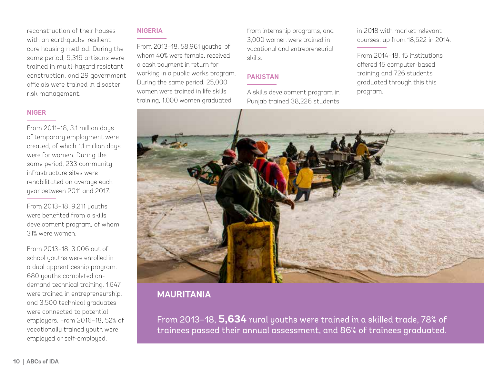reconstruction of their houses with an earthquake-resilient core housing method. During the same period, 9,319 artisans were trained in multi-hazard resistant construction, and 29 government officials were trained in disaster risk management.

#### **NIGER**

From 2011–18, 3.1 million days of temporary employment were created, of which 1.1 million days were for women. During the same period, 233 community infrastructure sites were rehabilitated on average each year between 2011 and 2017.

From 2013–18, 9,211 youths were benefited from a skills development program, of whom 31% were women.

From 2013–18, 3,006 out of school youths were enrolled in a dual apprenticeship program. 680 youths completed ondemand technical training, 1,647 were trained in entrepreneurship, and 3,500 technical graduates were connected to potential employers. From 2016–18, 52% of vocationally trained youth were employed or self-employed.

#### **NIGERIA**

From 2013–18, 58,961 youths, of whom 40% were female, received a cash payment in return for working in a public works program. During the same period, 25,000 women were trained in life skills training, 1,000 women graduated

from internship programs, and 3,000 women were trained in vocational and entrepreneurial skills.

## **PAKISTAN**

A skills development program in Punjab trained 38,226 students

in 2018 with market-relevant courses, up from 18,522 in 2014.

From 2014–18, 15 institutions offered 15 computer-based training and 726 students graduated through this this program.



## **MAURITANIA**

From 2013–18, **5,634** rural youths were trained in a skilled trade, 78% of trainees passed their annual assessment, and 86% of trainees graduated.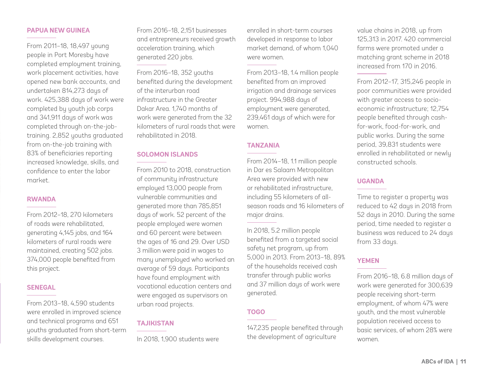## **PAPUA NEW GUINEA**

From 2011–18, 18,497 young people in Port Moresby have completed employment training, work placement activities, have opened new bank accounts, and undertaken 814,273 days of work. 425,388 days of work were completed by youth job corps and 341,911 days of work was completed through on-the-jobtraining. 2,852 youths graduated from on-the-job training with 83% of beneficiaries reporting increased knowledge, skills, and confidence to enter the labor market.

#### **RWANDA**

From 2012–18, 270 kilometers of roads were rehabilitated, generating 4,145 jobs, and 164 kilometers of rural roads were maintained, creating 502 jobs. 374,000 people benefited from this project.

#### **SENEGAL**

From 2013–18, 4,590 students were enrolled in improved science and technical programs and 651 youths graduated from short-term skills development courses.

From 2016–18, 2,151 businesses and entrepreneurs received growth acceleration training, which generated 220 jobs.

From 2016–18, 352 youths benefited during the development of the interurban road infrastructure in the Greater Dakar Area. 1740 months of work were generated from the 32 kilometers of rural roads that were rehabilitated in 2018.

## **SOLOMON ISLANDS**

From 2010 to 2018, construction of community infrastructure employed 13,000 people from vulnerable communities and generated more than 785,851 days of work. 52 percent of the people employed were women and 60 percent were between the ages of 16 and 29. Over USD 3 million were paid in wages to many unemployed who worked an average of 59 days. Participants have found employment with vocational education centers and were engaged as supervisors on urban road projects.

## **TAJIKISTAN**

In 2018, 1,900 students were

enrolled in short-term courses developed in response to labor market demand, of whom 1,040 were women.

From 2013–18, 1.4 million people benefited from an improved irrigation and drainage services project. 994,988 days of employment were generated, 239,461 days of which were for women.

## **TANZANIA**

From 2014–18, 1.1 million people in Dar es Salaam Metropolitan Area were provided with new or rehabilitated infrastructure, including 55 kilometers of allseason roads and 16 kilometers of major drains.

In 2018, 5.2 million people benefited from a targeted social safety net program, up from 5,000 in 2013. From 2013–18, 89% of the households received cash transfer through public works and 37 million days of work were generated.

## **TOGO**

147,235 people benefited through the development of agriculture

value chains in 2018, up from 125,313 in 2017. 420 commercial farms were promoted under a matching grant scheme in 2018 increased from 170 in 2016.

From 2012–17, 315,246 people in poor communities were provided with greater access to socioeconomic infrastructure; 12,754 people benefited through cashfor-work, food-for-work, and public works. During the same period, 39,831 students were enrolled in rehabilitated or newly constructed schools.

## **UGANDA**

Time to register a property was reduced to 42 days in 2018 from 52 days in 2010. During the same period, time needed to register a business was reduced to 24 days from 33 days.

## **YEMEN**

From 2016-18, 6.8 million days of work were generated for 300,639 people receiving short-term employment, of whom 47% were youth, and the most vulnerable population received access to basic services, of whom 28% were women.